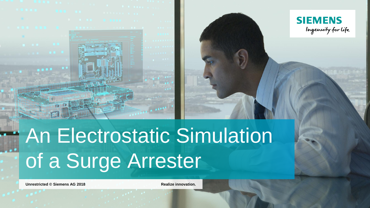



# An Electrostatic Simulation of a Surge Arrester

**Unrestricted** © Siemens AG 2018 **Realize innovation.**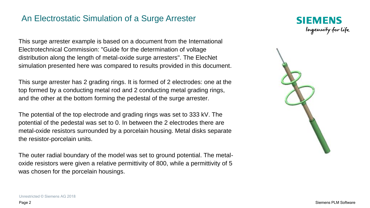#### An Electrostatic Simulation of a Surge Arrester

This surge arrester example is based on a document from the International Electrotechnical Commission: "Guide for the determination of voltage distribution along the length of metal-oxide surge arresters". The ElecNet simulation presented here was compared to results provided in this document.

This surge arrester has 2 grading rings. It is formed of 2 electrodes: one at the top formed by a conducting metal rod and 2 conducting metal grading rings, and the other at the bottom forming the pedestal of the surge arrester.

The potential of the top electrode and grading rings was set to 333 kV. The potential of the pedestal was set to 0. In between the 2 electrodes there are metal-oxide resistors surrounded by a porcelain housing. Metal disks separate the resistor-porcelain units.

The outer radial boundary of the model was set to ground potential. The metaloxide resistors were given a relative permittivity of 800, while a permittivity of 5 was chosen for the porcelain housings.





Unrestricted © Siemens AG 2018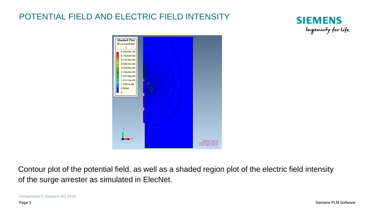# POTENTIAL FIELD AND ELECTRIC FIELD INTENSITY





Contour plot of the potential field, as well as a shaded region plot of the electric field intensity of the surge arrester as simulated in ElecNet.

Unrestricted © Siemens AG 2018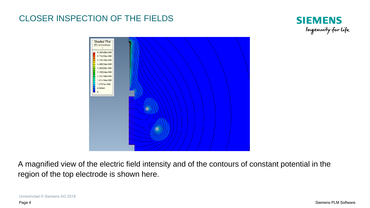## CLOSER INSPECTION OF THE FIELDS





A magnified view of the electric field intensity and of the contours of constant potential in the region of the top electrode is shown here.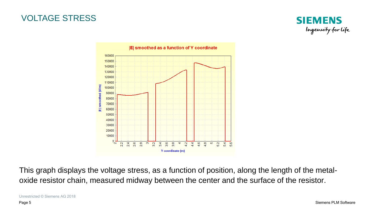#### VOLTAGE STRESS





This graph displays the voltage stress, as a function of position, along the length of the metaloxide resistor chain, measured midway between the center and the surface of the resistor.

Unrestricted © Siemens AG 2018